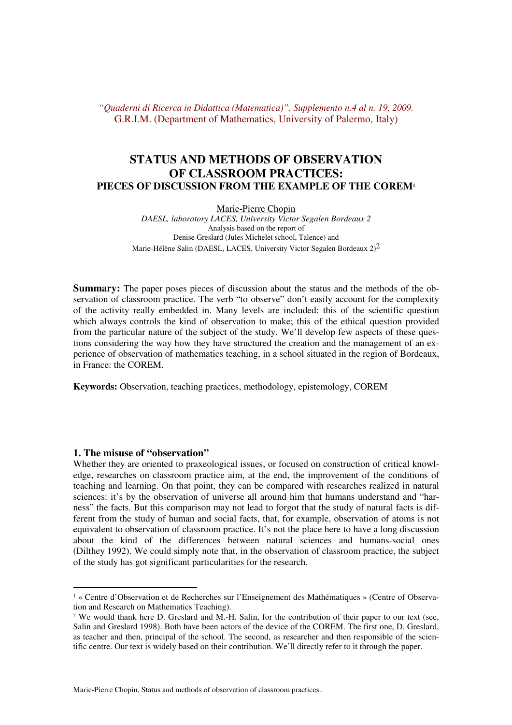# **STATUS AND METHODS OF OBSERVATION OF CLASSROOM PRACTICES: PIECES OF DISCUSSION FROM THE EXAMPLE OF THE COREM<sup>1</sup>**

Marie-Pierre Chopin

*DAESL, laboratory LACES, University Victor Segalen Bordeaux 2*  Analysis based on the report of Denise Greslard (Jules Michelet school, Talence) and Marie-Hélène Salin (DAESL, LACES, University Victor Segalen Bordeaux  $2)^2$ 

**Summary:** The paper poses pieces of discussion about the status and the methods of the observation of classroom practice. The verb "to observe" don't easily account for the complexity of the activity really embedded in. Many levels are included: this of the scientific question which always controls the kind of observation to make; this of the ethical question provided from the particular nature of the subject of the study. We'll develop few aspects of these questions considering the way how they have structured the creation and the management of an experience of observation of mathematics teaching, in a school situated in the region of Bordeaux, in France: the COREM.

**Keywords:** Observation, teaching practices, methodology, epistemology, COREM

### **1. The misuse of "observation"**

Whether they are oriented to praxeological issues, or focused on construction of critical knowledge, researches on classroom practice aim, at the end, the improvement of the conditions of teaching and learning. On that point, they can be compared with researches realized in natural sciences: it's by the observation of universe all around him that humans understand and "harness" the facts. But this comparison may not lead to forgot that the study of natural facts is different from the study of human and social facts, that, for example, observation of atoms is not equivalent to observation of classroom practice. It's not the place here to have a long discussion about the kind of the differences between natural sciences and humans-social ones (Dilthey 1992). We could simply note that, in the observation of classroom practice, the subject of the study has got significant particularities for the research.

<sup>1</sup> « Centre d'Observation et de Recherches sur l'Enseignement des Mathématiques » (Centre of Observation and Research on Mathematics Teaching).

<sup>&</sup>lt;sup>2</sup> We would thank here D. Greslard and M.-H. Salin, for the contribution of their paper to our text (see, Salin and Greslard 1998). Both have been actors of the device of the COREM. The first one, D. Greslard, as teacher and then, principal of the school. The second, as researcher and then responsible of the scientific centre. Our text is widely based on their contribution. We'll directly refer to it through the paper.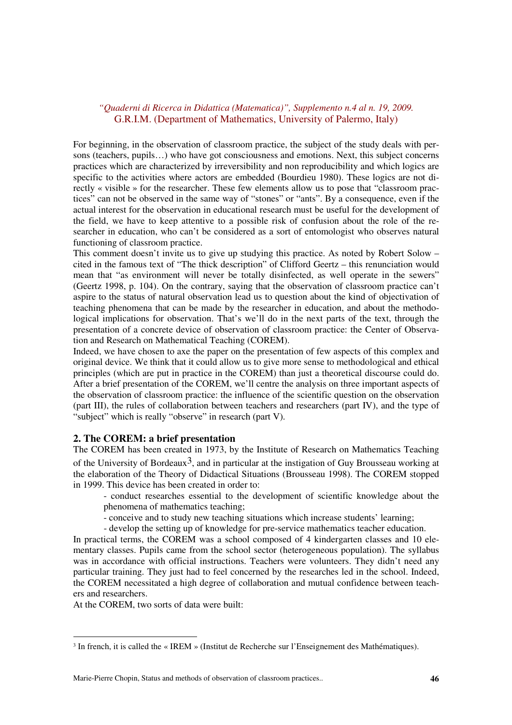For beginning, in the observation of classroom practice, the subject of the study deals with persons (teachers, pupils...) who have got consciousness and emotions. Next, this subject concerns practices which are characterized by irreversibility and non reproducibility and which logics are specific to the activities where actors are embedded (Bourdieu 1980). These logics are not directly « visible » for the researcher. These few elements allow us to pose that "classroom practices" can not be observed in the same way of "stones" or "ants". By a consequence, even if the actual interest for the observation in educational research must be useful for the development of the field, we have to keep attentive to a possible risk of confusion about the role of the researcher in education, who can't be considered as a sort of entomologist who observes natural functioning of classroom practice.

This comment doesn't invite us to give up studying this practice. As noted by Robert Solow – cited in the famous text of "The thick description" of Clifford Geertz – this renunciation would mean that "as environment will never be totally disinfected, as well operate in the sewers" (Geertz 1998, p. 104). On the contrary, saying that the observation of classroom practice can't aspire to the status of natural observation lead us to question about the kind of objectivation of teaching phenomena that can be made by the researcher in education, and about the methodological implications for observation. That's we'll do in the next parts of the text, through the presentation of a concrete device of observation of classroom practice: the Center of Observation and Research on Mathematical Teaching (COREM).

Indeed, we have chosen to axe the paper on the presentation of few aspects of this complex and original device. We think that it could allow us to give more sense to methodological and ethical principles (which are put in practice in the COREM) than just a theoretical discourse could do. After a brief presentation of the COREM, we'll centre the analysis on three important aspects of the observation of classroom practice: the influence of the scientific question on the observation (part III), the rules of collaboration between teachers and researchers (part IV), and the type of "subject" which is really "observe" in research (part V).

### **2. The COREM: a brief presentation**

The COREM has been created in 1973, by the Institute of Research on Mathematics Teaching of the University of Bordeaux<sup>3</sup>, and in particular at the instigation of Guy Brousseau working at the elaboration of the Theory of Didactical Situations (Brousseau 1998). The COREM stopped in 1999. This device has been created in order to:

- conduct researches essential to the development of scientific knowledge about the phenomena of mathematics teaching;
- conceive and to study new teaching situations which increase students' learning;

- develop the setting up of knowledge for pre-service mathematics teacher education.

In practical terms, the COREM was a school composed of 4 kindergarten classes and 10 elementary classes. Pupils came from the school sector (heterogeneous population). The syllabus was in accordance with official instructions. Teachers were volunteers. They didn't need any particular training. They just had to feel concerned by the researches led in the school. Indeed, the COREM necessitated a high degree of collaboration and mutual confidence between teachers and researchers.

At the COREM, two sorts of data were built:

<sup>&</sup>lt;sup>3</sup> In french, it is called the « IREM » (Institut de Recherche sur l'Enseignement des Mathématiques).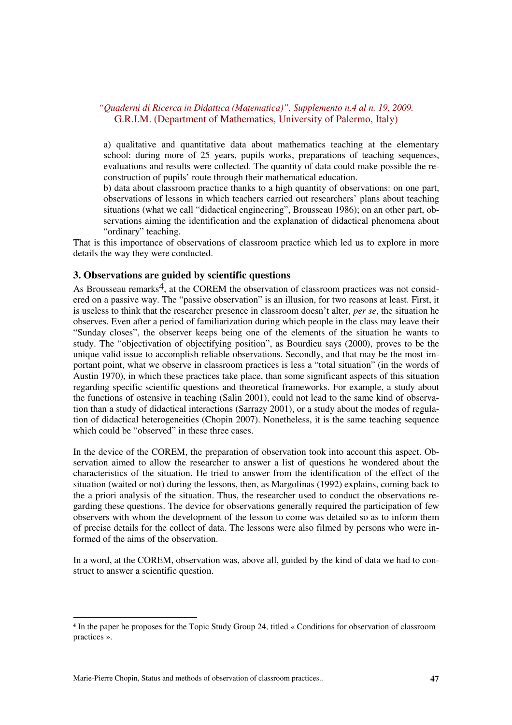a) qualitative and quantitative data about mathematics teaching at the elementary school: during more of 25 years, pupils works, preparations of teaching sequences, evaluations and results were collected. The quantity of data could make possible the reconstruction of pupils' route through their mathematical education.

b) data about classroom practice thanks to a high quantity of observations: on one part, observations of lessons in which teachers carried out researchers' plans about teaching situations (what we call "didactical engineering", Brousseau 1986); on an other part, observations aiming the identification and the explanation of didactical phenomena about "ordinary" teaching.

That is this importance of observations of classroom practice which led us to explore in more details the way they were conducted.

### **3. Observations are guided by scientific questions**

As Brousseau remarks<sup>4</sup>, at the COREM the observation of classroom practices was not considered on a passive way. The "passive observation" is an illusion, for two reasons at least. First, it is useless to think that the researcher presence in classroom doesn't alter, *per se*, the situation he observes. Even after a period of familiarization during which people in the class may leave their "Sunday closes", the observer keeps being one of the elements of the situation he wants to study. The "objectivation of objectifying position", as Bourdieu says (2000), proves to be the unique valid issue to accomplish reliable observations. Secondly, and that may be the most important point, what we observe in classroom practices is less a "total situation" (in the words of Austin 1970), in which these practices take place, than some significant aspects of this situation regarding specific scientific questions and theoretical frameworks. For example, a study about the functions of ostensive in teaching (Salin 2001), could not lead to the same kind of observation than a study of didactical interactions (Sarrazy 2001), or a study about the modes of regulation of didactical heterogeneities (Chopin 2007). Nonetheless, it is the same teaching sequence which could be "observed" in these three cases.

In the device of the COREM, the preparation of observation took into account this aspect. Observation aimed to allow the researcher to answer a list of questions he wondered about the characteristics of the situation. He tried to answer from the identification of the effect of the situation (waited or not) during the lessons, then, as Margolinas (1992) explains, coming back to the a priori analysis of the situation. Thus, the researcher used to conduct the observations regarding these questions. The device for observations generally required the participation of few observers with whom the development of the lesson to come was detailed so as to inform them of precise details for the collect of data. The lessons were also filmed by persons who were informed of the aims of the observation.

In a word, at the COREM, observation was, above all, guided by the kind of data we had to construct to answer a scientific question.

**<sup>4</sup>** In the paper he proposes for the Topic Study Group 24, titled « Conditions for observation of classroom practices ».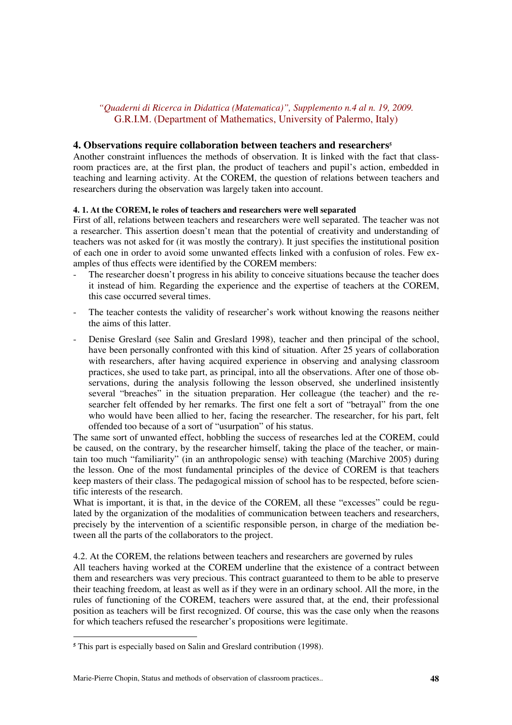#### **4. Observations require collaboration between teachers and researchers<sup>5</sup>**

Another constraint influences the methods of observation. It is linked with the fact that classroom practices are, at the first plan, the product of teachers and pupil's action, embedded in teaching and learning activity. At the COREM, the question of relations between teachers and researchers during the observation was largely taken into account.

#### **4. 1. At the COREM, le roles of teachers and researchers were well separated**

First of all, relations between teachers and researchers were well separated. The teacher was not a researcher. This assertion doesn't mean that the potential of creativity and understanding of teachers was not asked for (it was mostly the contrary). It just specifies the institutional position of each one in order to avoid some unwanted effects linked with a confusion of roles. Few examples of thus effects were identified by the COREM members:

- The researcher doesn't progress in his ability to conceive situations because the teacher does it instead of him. Regarding the experience and the expertise of teachers at the COREM, this case occurred several times.
- The teacher contests the validity of researcher's work without knowing the reasons neither the aims of this latter.
- Denise Greslard (see Salin and Greslard 1998), teacher and then principal of the school, have been personally confronted with this kind of situation. After 25 years of collaboration with researchers, after having acquired experience in observing and analysing classroom practices, she used to take part, as principal, into all the observations. After one of those observations, during the analysis following the lesson observed, she underlined insistently several "breaches" in the situation preparation. Her colleague (the teacher) and the researcher felt offended by her remarks. The first one felt a sort of "betrayal" from the one who would have been allied to her, facing the researcher. The researcher, for his part, felt offended too because of a sort of "usurpation" of his status.

The same sort of unwanted effect, hobbling the success of researches led at the COREM, could be caused, on the contrary, by the researcher himself, taking the place of the teacher, or maintain too much "familiarity" (in an anthropologic sense) with teaching (Marchive 2005) during the lesson. One of the most fundamental principles of the device of COREM is that teachers keep masters of their class. The pedagogical mission of school has to be respected, before scientific interests of the research.

What is important, it is that, in the device of the COREM, all these "excesses" could be regulated by the organization of the modalities of communication between teachers and researchers, precisely by the intervention of a scientific responsible person, in charge of the mediation between all the parts of the collaborators to the project.

#### 4.2. At the COREM, the relations between teachers and researchers are governed by rules

All teachers having worked at the COREM underline that the existence of a contract between them and researchers was very precious. This contract guaranteed to them to be able to preserve their teaching freedom, at least as well as if they were in an ordinary school. All the more, in the rules of functioning of the COREM, teachers were assured that, at the end, their professional position as teachers will be first recognized. Of course, this was the case only when the reasons for which teachers refused the researcher's propositions were legitimate.

**<sup>5</sup>** This part is especially based on Salin and Greslard contribution (1998).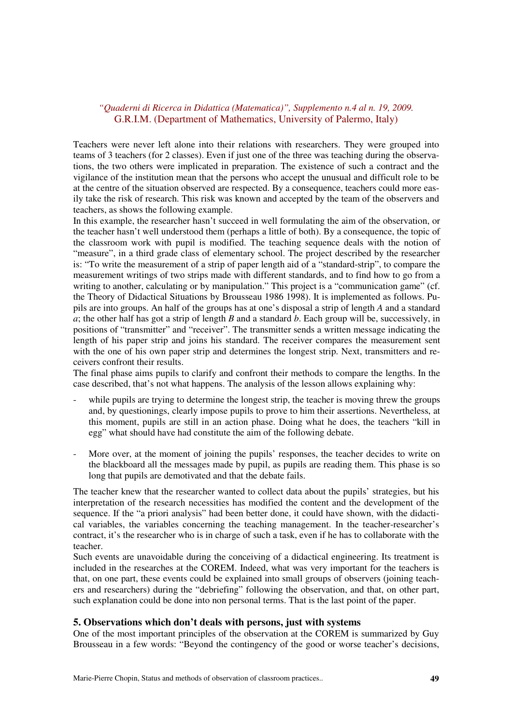Teachers were never left alone into their relations with researchers. They were grouped into teams of 3 teachers (for 2 classes). Even if just one of the three was teaching during the observations, the two others were implicated in preparation. The existence of such a contract and the vigilance of the institution mean that the persons who accept the unusual and difficult role to be at the centre of the situation observed are respected. By a consequence, teachers could more easily take the risk of research. This risk was known and accepted by the team of the observers and teachers, as shows the following example.

In this example, the researcher hasn't succeed in well formulating the aim of the observation, or the teacher hasn't well understood them (perhaps a little of both). By a consequence, the topic of the classroom work with pupil is modified. The teaching sequence deals with the notion of "measure", in a third grade class of elementary school. The project described by the researcher is: "To write the measurement of a strip of paper length aid of a "standard-strip", to compare the measurement writings of two strips made with different standards, and to find how to go from a writing to another, calculating or by manipulation." This project is a "communication game" (cf. the Theory of Didactical Situations by Brousseau 1986 1998). It is implemented as follows. Pupils are into groups. An half of the groups has at one's disposal a strip of length *A* and a standard  $\overline{a}$ ; the other half has got a strip of length *B* and a standard *b*. Each group will be, successively, in positions of "transmitter" and "receiver". The transmitter sends a written message indicating the length of his paper strip and joins his standard. The receiver compares the measurement sent with the one of his own paper strip and determines the longest strip. Next, transmitters and receivers confront their results.

The final phase aims pupils to clarify and confront their methods to compare the lengths. In the case described, that's not what happens. The analysis of the lesson allows explaining why:

- while pupils are trying to determine the longest strip, the teacher is moving threw the groups and, by questionings, clearly impose pupils to prove to him their assertions. Nevertheless, at this moment, pupils are still in an action phase. Doing what he does, the teachers "kill in egg" what should have had constitute the aim of the following debate.
- More over, at the moment of joining the pupils' responses, the teacher decides to write on the blackboard all the messages made by pupil, as pupils are reading them. This phase is so long that pupils are demotivated and that the debate fails.

The teacher knew that the researcher wanted to collect data about the pupils' strategies, but his interpretation of the research necessities has modified the content and the development of the sequence. If the "a priori analysis" had been better done, it could have shown, with the didactical variables, the variables concerning the teaching management. In the teacher-researcher's contract, it's the researcher who is in charge of such a task, even if he has to collaborate with the teacher.

Such events are unavoidable during the conceiving of a didactical engineering. Its treatment is included in the researches at the COREM. Indeed, what was very important for the teachers is that, on one part, these events could be explained into small groups of observers (joining teachers and researchers) during the "debriefing" following the observation, and that, on other part, such explanation could be done into non personal terms. That is the last point of the paper.

### **5. Observations which don't deals with persons, just with systems**

One of the most important principles of the observation at the COREM is summarized by Guy Brousseau in a few words: "Beyond the contingency of the good or worse teacher's decisions,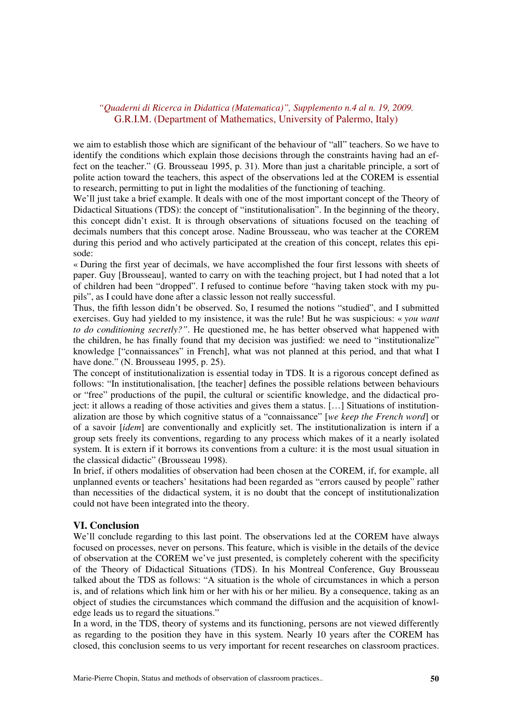we aim to establish those which are significant of the behaviour of "all" teachers. So we have to identify the conditions which explain those decisions through the constraints having had an effect on the teacher." (G. Brousseau 1995, p. 31). More than just a charitable principle, a sort of polite action toward the teachers, this aspect of the observations led at the COREM is essential to research, permitting to put in light the modalities of the functioning of teaching.

We'll just take a brief example. It deals with one of the most important concept of the Theory of Didactical Situations (TDS): the concept of "institutionalisation". In the beginning of the theory, this concept didn't exist. It is through observations of situations focused on the teaching of decimals numbers that this concept arose. Nadine Brousseau, who was teacher at the COREM during this period and who actively participated at the creation of this concept, relates this episode:

« During the first year of decimals, we have accomplished the four first lessons with sheets of paper. Guy [Brousseau], wanted to carry on with the teaching project, but I had noted that a lot of children had been "dropped". I refused to continue before "having taken stock with my pupils", as I could have done after a classic lesson not really successful.

Thus, the fifth lesson didn't be observed. So, I resumed the notions "studied", and I submitted exercises. Guy had yielded to my insistence, it was the rule! But he was suspicious: « *you want to do conditioning secretly?"*. He questioned me, he has better observed what happened with the children, he has finally found that my decision was justified: we need to "institutionalize" knowledge ["connaissances" in French], what was not planned at this period, and that what I have done." (N. Brousseau 1995, p. 25).

The concept of institutionalization is essential today in TDS. It is a rigorous concept defined as follows: "In institutionalisation, [the teacher] defines the possible relations between behaviours or "free" productions of the pupil, the cultural or scientific knowledge, and the didactical project: it allows a reading of those activities and gives them a status. […] Situations of institutionalization are those by which cognitive status of a "connaissance" [*we keep the French word*] or of a savoir [*idem*] are conventionally and explicitly set. The institutionalization is intern if a group sets freely its conventions, regarding to any process which makes of it a nearly isolated system. It is extern if it borrows its conventions from a culture: it is the most usual situation in the classical didactic" (Brousseau 1998).

In brief, if others modalities of observation had been chosen at the COREM, if, for example, all unplanned events or teachers' hesitations had been regarded as "errors caused by people" rather than necessities of the didactical system, it is no doubt that the concept of institutionalization could not have been integrated into the theory.

### **VI. Conclusion**

We'll conclude regarding to this last point. The observations led at the COREM have always focused on processes, never on persons. This feature, which is visible in the details of the device of observation at the COREM we've just presented, is completely coherent with the specificity of the Theory of Didactical Situations (TDS). In his Montreal Conference, Guy Brousseau talked about the TDS as follows: "A situation is the whole of circumstances in which a person is, and of relations which link him or her with his or her milieu. By a consequence, taking as an object of studies the circumstances which command the diffusion and the acquisition of knowledge leads us to regard the situations."

In a word, in the TDS, theory of systems and its functioning, persons are not viewed differently as regarding to the position they have in this system. Nearly 10 years after the COREM has closed, this conclusion seems to us very important for recent researches on classroom practices.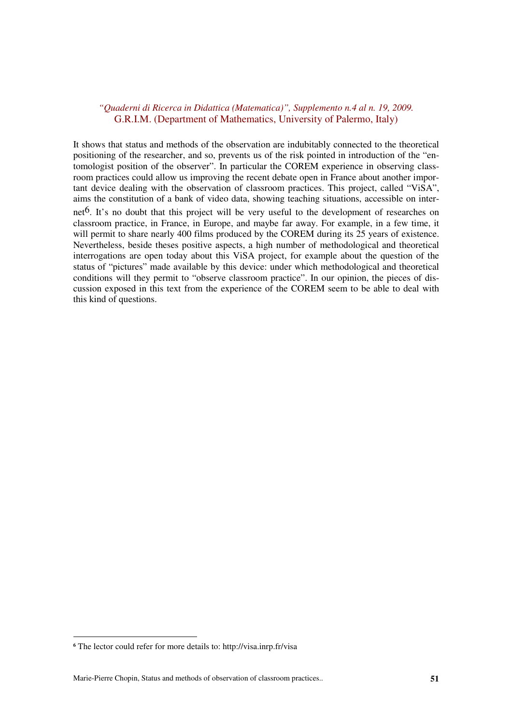It shows that status and methods of the observation are indubitably connected to the theoretical positioning of the researcher, and so, prevents us of the risk pointed in introduction of the "entomologist position of the observer". In particular the COREM experience in observing classroom practices could allow us improving the recent debate open in France about another important device dealing with the observation of classroom practices. This project, called "ViSA", aims the constitution of a bank of video data, showing teaching situations, accessible on internet<sup>6</sup>. It's no doubt that this project will be very useful to the development of researches on classroom practice, in France, in Europe, and maybe far away. For example, in a few time, it will permit to share nearly 400 films produced by the COREM during its 25 years of existence. Nevertheless, beside theses positive aspects, a high number of methodological and theoretical interrogations are open today about this ViSA project, for example about the question of the status of "pictures" made available by this device: under which methodological and theoretical conditions will they permit to "observe classroom practice". In our opinion, the pieces of discussion exposed in this text from the experience of the COREM seem to be able to deal with this kind of questions.

**<sup>6</sup>** The lector could refer for more details to: http://visa.inrp.fr/visa